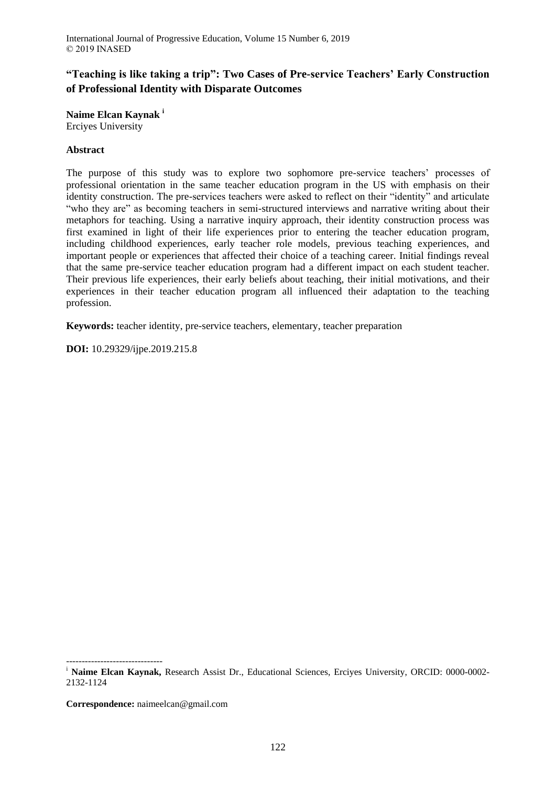# **"Teaching is like taking a trip": Two Cases of Pre-service Teachers' Early Construction of Professional Identity with Disparate Outcomes**

**Naime Elcan Kaynak <sup>i</sup>**

Erciyes University

## **Abstract**

The purpose of this study was to explore two sophomore pre-service teachers' processes of professional orientation in the same teacher education program in the US with emphasis on their identity construction. The pre-services teachers were asked to reflect on their "identity" and articulate "who they are" as becoming teachers in semi-structured interviews and narrative writing about their metaphors for teaching. Using a narrative inquiry approach, their identity construction process was first examined in light of their life experiences prior to entering the teacher education program, including childhood experiences, early teacher role models, previous teaching experiences, and important people or experiences that affected their choice of a teaching career. Initial findings reveal that the same pre-service teacher education program had a different impact on each student teacher. Their previous life experiences, their early beliefs about teaching, their initial motivations, and their experiences in their teacher education program all influenced their adaptation to the teaching profession.

**Keywords:** teacher identity, pre-service teachers, elementary, teacher preparation

**DOI:** 10.29329/ijpe.2019.215.8

------------------------------- <sup>i</sup> Naime Elcan Kaynak, Research Assist Dr., Educational Sciences, Erciyes University, ORCID: 0000-0002-2132-1124

**Correspondence:** naimeelcan@gmail.com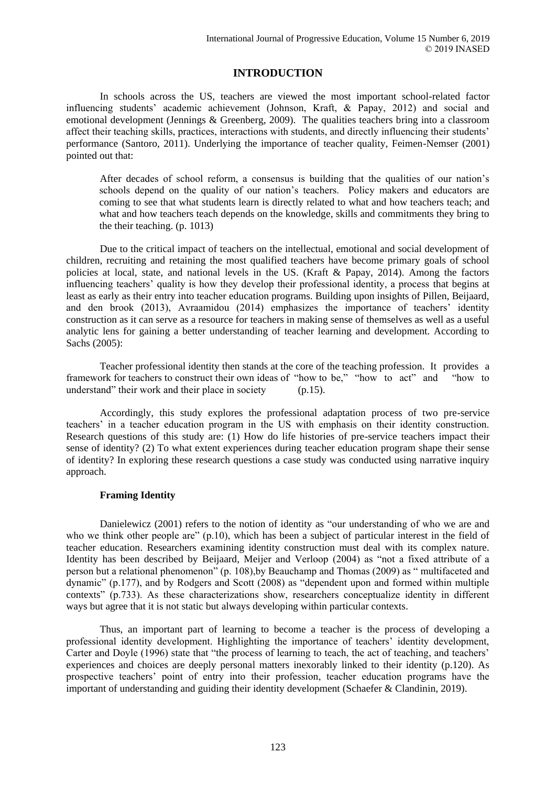## **INTRODUCTION**

In schools across the US, teachers are viewed the most important school-related factor influencing students' academic achievement (Johnson, Kraft, & Papay, 2012) and social and emotional development (Jennings & Greenberg, 2009). The qualities teachers bring into a classroom affect their teaching skills, practices, interactions with students, and directly influencing their students' performance (Santoro, 2011). Underlying the importance of teacher quality, Feimen-Nemser (2001) pointed out that:

After decades of school reform, a consensus is building that the qualities of our nation's schools depend on the quality of our nation's teachers. Policy makers and educators are coming to see that what students learn is directly related to what and how teachers teach; and what and how teachers teach depends on the knowledge, skills and commitments they bring to the their teaching. (p. 1013)

Due to the critical impact of teachers on the intellectual, emotional and social development of children, recruiting and retaining the most qualified teachers have become primary goals of school policies at local, state, and national levels in the US. (Kraft & Papay, 2014). Among the factors influencing teachers' quality is how they develop their professional identity, a process that begins at least as early as their entry into teacher education programs. Building upon insights of Pillen, Beijaard, and den brook (2013), Avraamidou (2014) emphasizes the importance of teachers' identity construction as it can serve as a resource for teachers in making sense of themselves as well as a useful analytic lens for gaining a better understanding of teacher learning and development. According to Sachs (2005):

Teacher professional identity then stands at the core of the teaching profession. It provides a framework for teachers to construct their own ideas of "how to be," "how to act" and "how to understand" their work and their place in society (p.15).

Accordingly, this study explores the professional adaptation process of two pre-service teachers' in a teacher education program in the US with emphasis on their identity construction. Research questions of this study are: (1) How do life histories of pre-service teachers impact their sense of identity? (2) To what extent experiences during teacher education program shape their sense of identity? In exploring these research questions a case study was conducted using narrative inquiry approach.

## **Framing Identity**

Danielewicz (2001) refers to the notion of identity as "our understanding of who we are and who we think other people are" (p.10), which has been a subject of particular interest in the field of teacher education. Researchers examining identity construction must deal with its complex nature. Identity has been described by Beijaard, Meijer and Verloop (2004) as "not a fixed attribute of a person but a relational phenomenon" (p. 108),by Beauchamp and Thomas (2009) as " multifaceted and dynamic" (p.177), and by Rodgers and Scott (2008) as "dependent upon and formed within multiple contexts" (p.733). As these characterizations show, researchers conceptualize identity in different ways but agree that it is not static but always developing within particular contexts.

Thus, an important part of learning to become a teacher is the process of developing a professional identity development. Highlighting the importance of teachers' identity development, Carter and Doyle (1996) state that "the process of learning to teach, the act of teaching, and teachers' experiences and choices are deeply personal matters inexorably linked to their identity (p.120). As prospective teachers' point of entry into their profession, teacher education programs have the important of understanding and guiding their identity development (Schaefer & Clandinin, 2019).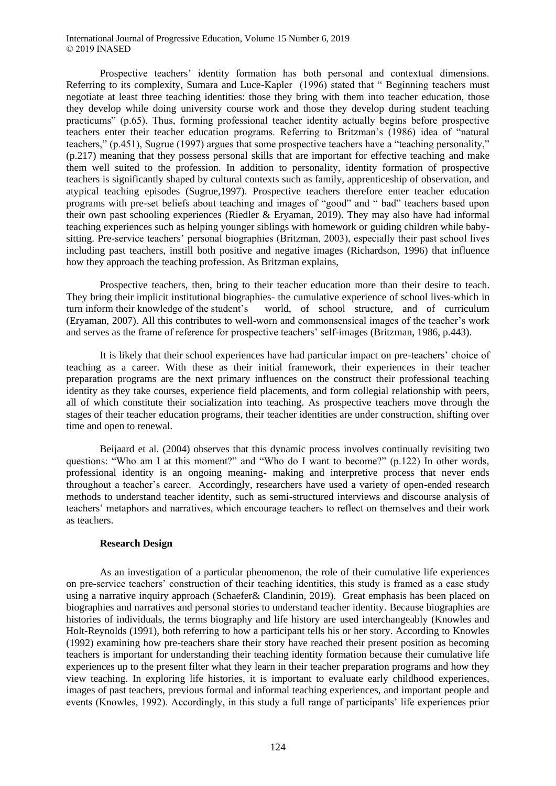#### International Journal of Progressive Education, Volume 15 Number 6, 2019 © 2019 INASED

Prospective teachers' identity formation has both personal and contextual dimensions. Referring to its complexity, Sumara and Luce-Kapler (1996) stated that " Beginning teachers must negotiate at least three teaching identities: those they bring with them into teacher education, those they develop while doing university course work and those they develop during student teaching practicums" (p.65). Thus, forming professional teacher identity actually begins before prospective teachers enter their teacher education programs. Referring to Britzman's (1986) idea of "natural teachers," (p.451), Sugrue (1997) argues that some prospective teachers have a "teaching personality," (p.217) meaning that they possess personal skills that are important for effective teaching and make them well suited to the profession. In addition to personality, identity formation of prospective teachers is significantly shaped by cultural contexts such as family, apprenticeship of observation, and atypical teaching episodes (Sugrue,1997). Prospective teachers therefore enter teacher education programs with pre-set beliefs about teaching and images of "good" and " bad" teachers based upon their own past schooling experiences (Riedler & Eryaman, 2019). They may also have had informal teaching experiences such as helping younger siblings with homework or guiding children while babysitting. Pre-service teachers' personal biographies (Britzman, 2003), especially their past school lives including past teachers, instill both positive and negative images (Richardson, 1996) that influence how they approach the teaching profession. As Britzman explains,

Prospective teachers, then, bring to their teacher education more than their desire to teach. They bring their implicit institutional biographies- the cumulative experience of school lives-which in turn inform their knowledge of the student's world, of school structure, and of curriculum (Eryaman, 2007). All this contributes to well-worn and commonsensical images of the teacher's work and serves as the frame of reference for prospective teachers' self-images (Britzman, 1986, p.443).

It is likely that their school experiences have had particular impact on pre-teachers' choice of teaching as a career. With these as their initial framework, their experiences in their teacher preparation programs are the next primary influences on the construct their professional teaching identity as they take courses, experience field placements, and form collegial relationship with peers, all of which constitute their socialization into teaching. As prospective teachers move through the stages of their teacher education programs, their teacher identities are under construction, shifting over time and open to renewal.

Beijaard et al. (2004) observes that this dynamic process involves continually revisiting two questions: "Who am I at this moment?" and "Who do I want to become?" (p.122) In other words, professional identity is an ongoing meaning- making and interpretive process that never ends throughout a teacher's career. Accordingly, researchers have used a variety of open-ended research methods to understand teacher identity, such as semi-structured interviews and discourse analysis of teachers' metaphors and narratives, which encourage teachers to reflect on themselves and their work as teachers.

### **Research Design**

As an investigation of a particular phenomenon, the role of their cumulative life experiences on pre-service teachers' construction of their teaching identities, this study is framed as a case study using a narrative inquiry approach (Schaefer& Clandinin, 2019). Great emphasis has been placed on biographies and narratives and personal stories to understand teacher identity. Because biographies are histories of individuals, the terms biography and life history are used interchangeably (Knowles and Holt-Reynolds (1991), both referring to how a participant tells his or her story. According to Knowles (1992) examining how pre-teachers share their story have reached their present position as becoming teachers is important for understanding their teaching identity formation because their cumulative life experiences up to the present filter what they learn in their teacher preparation programs and how they view teaching. In exploring life histories, it is important to evaluate early childhood experiences, images of past teachers, previous formal and informal teaching experiences, and important people and events (Knowles, 1992). Accordingly, in this study a full range of participants' life experiences prior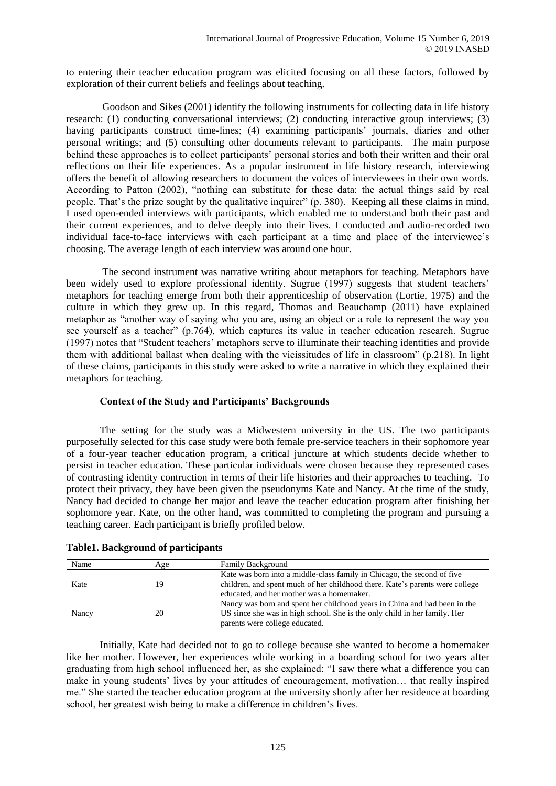to entering their teacher education program was elicited focusing on all these factors, followed by exploration of their current beliefs and feelings about teaching.

Goodson and Sikes (2001) identify the following instruments for collecting data in life history research: (1) conducting conversational interviews; (2) conducting interactive group interviews; (3) having participants construct time-lines; (4) examining participants' journals, diaries and other personal writings; and (5) consulting other documents relevant to participants. The main purpose behind these approaches is to collect participants' personal stories and both their written and their oral reflections on their life experiences. As a popular instrument in life history research, interviewing offers the benefit of allowing researchers to document the voices of interviewees in their own words. According to Patton (2002), "nothing can substitute for these data: the actual things said by real people. That's the prize sought by the qualitative inquirer" (p. 380). Keeping all these claims in mind, I used open-ended interviews with participants, which enabled me to understand both their past and their current experiences, and to delve deeply into their lives. I conducted and audio-recorded two individual face-to-face interviews with each participant at a time and place of the interviewee's choosing. The average length of each interview was around one hour.

The second instrument was narrative writing about metaphors for teaching. Metaphors have been widely used to explore professional identity. Sugrue (1997) suggests that student teachers' metaphors for teaching emerge from both their apprenticeship of observation (Lortie, 1975) and the culture in which they grew up. In this regard, Thomas and Beauchamp (2011) have explained metaphor as "another way of saying who you are, using an object or a role to represent the way you see yourself as a teacher" (p.764), which captures its value in teacher education research. Sugrue (1997) notes that "Student teachers' metaphors serve to illuminate their teaching identities and provide them with additional ballast when dealing with the vicissitudes of life in classroom" (p.218). In light of these claims, participants in this study were asked to write a narrative in which they explained their metaphors for teaching.

### **Context of the Study and Participants' Backgrounds**

The setting for the study was a Midwestern university in the US. The two participants purposefully selected for this case study were both female pre-service teachers in their sophomore year of a four-year teacher education program, a critical juncture at which students decide whether to persist in teacher education. These particular individuals were chosen because they represented cases of contrasting identity contruction in terms of their life histories and their approaches to teaching. To protect their privacy, they have been given the pseudonyms Kate and Nancy. At the time of the study, Nancy had decided to change her major and leave the teacher education program after finishing her sophomore year. Kate, on the other hand, was committed to completing the program and pursuing a teaching career. Each participant is briefly profiled below.

| Name  | Age | <b>Family Background</b>                                                     |
|-------|-----|------------------------------------------------------------------------------|
| Kate  | 19  | Kate was born into a middle-class family in Chicago, the second of five      |
|       |     | children, and spent much of her childhood there. Kate's parents were college |
|       |     | educated, and her mother was a homemaker.                                    |
| Nancy | 20  | Nancy was born and spent her childhood years in China and had been in the    |
|       |     | US since she was in high school. She is the only child in her family. Her    |
|       |     | parents were college educated.                                               |

## **Table1. Background of participants**

Initially, Kate had decided not to go to college because she wanted to become a homemaker like her mother. However, her experiences while working in a boarding school for two years after graduating from high school influenced her, as she explained: "I saw there what a difference you can make in young students' lives by your attitudes of encouragement, motivation… that really inspired me." She started the teacher education program at the university shortly after her residence at boarding school, her greatest wish being to make a difference in children's lives.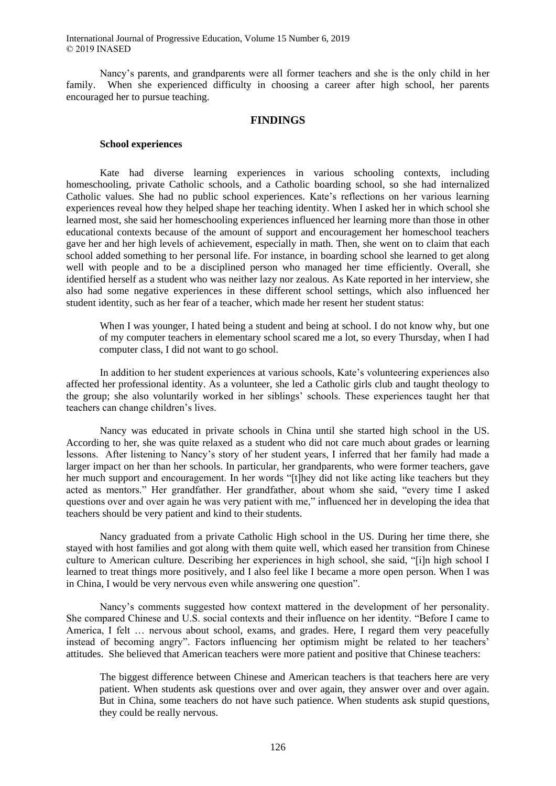International Journal of Progressive Education, Volume 15 Number 6, 2019 © 2019 INASED

Nancy's parents, and grandparents were all former teachers and she is the only child in her family. When she experienced difficulty in choosing a career after high school, her parents encouraged her to pursue teaching.

#### **FINDINGS**

#### **School experiences**

Kate had diverse learning experiences in various schooling contexts, including homeschooling, private Catholic schools, and a Catholic boarding school, so she had internalized Catholic values. She had no public school experiences. Kate's reflections on her various learning experiences reveal how they helped shape her teaching identity. When I asked her in which school she learned most, she said her homeschooling experiences influenced her learning more than those in other educational contexts because of the amount of support and encouragement her homeschool teachers gave her and her high levels of achievement, especially in math. Then, she went on to claim that each school added something to her personal life. For instance, in boarding school she learned to get along well with people and to be a disciplined person who managed her time efficiently. Overall, she identified herself as a student who was neither lazy nor zealous. As Kate reported in her interview, she also had some negative experiences in these different school settings, which also influenced her student identity, such as her fear of a teacher, which made her resent her student status:

When I was younger, I hated being a student and being at school. I do not know why, but one of my computer teachers in elementary school scared me a lot, so every Thursday, when I had computer class, I did not want to go school.

In addition to her student experiences at various schools, Kate's volunteering experiences also affected her professional identity. As a volunteer, she led a Catholic girls club and taught theology to the group; she also voluntarily worked in her siblings' schools. These experiences taught her that teachers can change children's lives.

Nancy was educated in private schools in China until she started high school in the US. According to her, she was quite relaxed as a student who did not care much about grades or learning lessons. After listening to Nancy's story of her student years, I inferred that her family had made a larger impact on her than her schools. In particular, her grandparents, who were former teachers, gave her much support and encouragement. In her words "[t]hey did not like acting like teachers but they acted as mentors." Her grandfather. Her grandfather, about whom she said, "every time I asked questions over and over again he was very patient with me," influenced her in developing the idea that teachers should be very patient and kind to their students.

Nancy graduated from a private Catholic High school in the US. During her time there, she stayed with host families and got along with them quite well, which eased her transition from Chinese culture to American culture. Describing her experiences in high school, she said, "[i]n high school I learned to treat things more positively, and I also feel like I became a more open person. When I was in China, I would be very nervous even while answering one question".

Nancy's comments suggested how context mattered in the development of her personality. She compared Chinese and U.S. social contexts and their influence on her identity. "Before I came to America, I felt … nervous about school, exams, and grades. Here, I regard them very peacefully instead of becoming angry". Factors influencing her optimism might be related to her teachers' attitudes. She believed that American teachers were more patient and positive that Chinese teachers:

The biggest difference between Chinese and American teachers is that teachers here are very patient. When students ask questions over and over again, they answer over and over again. But in China, some teachers do not have such patience. When students ask stupid questions, they could be really nervous.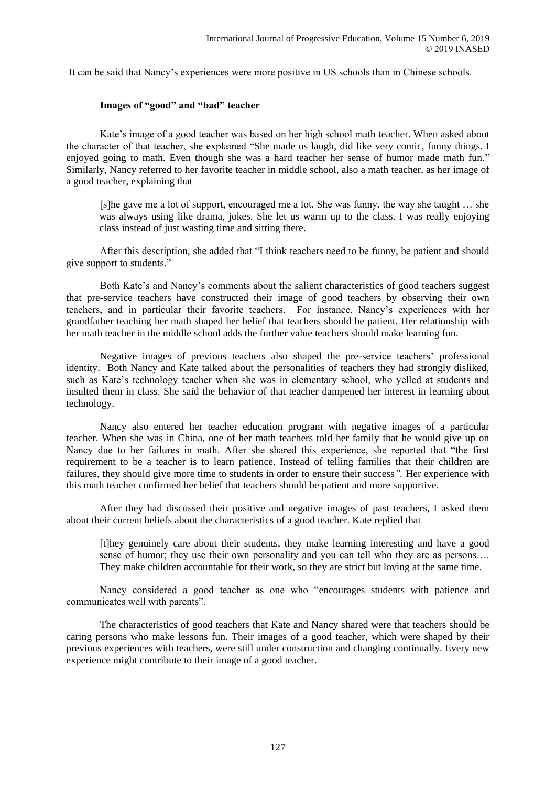It can be said that Nancy's experiences were more positive in US schools than in Chinese schools.

#### **Images of "good" and "bad" teacher**

Kate's image of a good teacher was based on her high school math teacher. When asked about the character of that teacher, she explained "She made us laugh, did like very comic, funny things. I enjoyed going to math. Even though she was a hard teacher her sense of humor made math fun." Similarly, Nancy referred to her favorite teacher in middle school, also a math teacher, as her image of a good teacher, explaining that

[s]he gave me a lot of support, encouraged me a lot. She was funny, the way she taught … she was always using like drama, jokes. She let us warm up to the class. I was really enjoying class instead of just wasting time and sitting there.

After this description, she added that "I think teachers need to be funny, be patient and should give support to students."

Both Kate's and Nancy's comments about the salient characteristics of good teachers suggest that pre-service teachers have constructed their image of good teachers by observing their own teachers, and in particular their favorite teachers. For instance, Nancy's experiences with her grandfather teaching her math shaped her belief that teachers should be patient. Her relationship with her math teacher in the middle school adds the further value teachers should make learning fun.

Negative images of previous teachers also shaped the pre-service teachers' professional identity. Both Nancy and Kate talked about the personalities of teachers they had strongly disliked, such as Kate's technology teacher when she was in elementary school, who yelled at students and insulted them in class. She said the behavior of that teacher dampened her interest in learning about technology.

Nancy also entered her teacher education program with negative images of a particular teacher. When she was in China, one of her math teachers told her family that he would give up on Nancy due to her failures in math. After she shared this experience, she reported that "the first requirement to be a teacher is to learn patience. Instead of telling families that their children are failures, they should give more time to students in order to ensure their success*".* Her experience with this math teacher confirmed her belief that teachers should be patient and more supportive.

After they had discussed their positive and negative images of past teachers, I asked them about their current beliefs about the characteristics of a good teacher. Kate replied that

[t]hey genuinely care about their students, they make learning interesting and have a good sense of humor; they use their own personality and you can tell who they are as persons…. They make children accountable for their work, so they are strict but loving at the same time.

Nancy considered a good teacher as one who "encourages students with patience and communicates well with parents".

The characteristics of good teachers that Kate and Nancy shared were that teachers should be caring persons who make lessons fun. Their images of a good teacher, which were shaped by their previous experiences with teachers, were still under construction and changing continually. Every new experience might contribute to their image of a good teacher.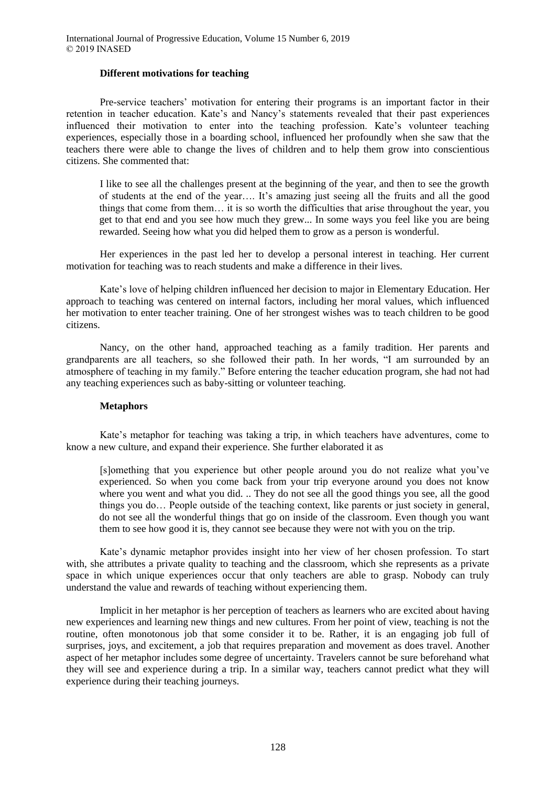#### **Different motivations for teaching**

Pre-service teachers' motivation for entering their programs is an important factor in their retention in teacher education. Kate's and Nancy's statements revealed that their past experiences influenced their motivation to enter into the teaching profession. Kate's volunteer teaching experiences, especially those in a boarding school, influenced her profoundly when she saw that the teachers there were able to change the lives of children and to help them grow into conscientious citizens. She commented that:

I like to see all the challenges present at the beginning of the year, and then to see the growth of students at the end of the year…. It's amazing just seeing all the fruits and all the good things that come from them… it is so worth the difficulties that arise throughout the year, you get to that end and you see how much they grew... In some ways you feel like you are being rewarded. Seeing how what you did helped them to grow as a person is wonderful.

Her experiences in the past led her to develop a personal interest in teaching. Her current motivation for teaching was to reach students and make a difference in their lives.

Kate's love of helping children influenced her decision to major in Elementary Education. Her approach to teaching was centered on internal factors, including her moral values, which influenced her motivation to enter teacher training. One of her strongest wishes was to teach children to be good citizens.

Nancy, on the other hand, approached teaching as a family tradition. Her parents and grandparents are all teachers, so she followed their path. In her words, "I am surrounded by an atmosphere of teaching in my family." Before entering the teacher education program, she had not had any teaching experiences such as baby-sitting or volunteer teaching.

### **Metaphors**

Kate's metaphor for teaching was taking a trip, in which teachers have adventures, come to know a new culture, and expand their experience. She further elaborated it as

[s]omething that you experience but other people around you do not realize what you've experienced. So when you come back from your trip everyone around you does not know where you went and what you did. .. They do not see all the good things you see, all the good things you do… People outside of the teaching context, like parents or just society in general, do not see all the wonderful things that go on inside of the classroom. Even though you want them to see how good it is, they cannot see because they were not with you on the trip.

Kate's dynamic metaphor provides insight into her view of her chosen profession. To start with, she attributes a private quality to teaching and the classroom, which she represents as a private space in which unique experiences occur that only teachers are able to grasp. Nobody can truly understand the value and rewards of teaching without experiencing them.

Implicit in her metaphor is her perception of teachers as learners who are excited about having new experiences and learning new things and new cultures. From her point of view, teaching is not the routine, often monotonous job that some consider it to be. Rather, it is an engaging job full of surprises, joys, and excitement, a job that requires preparation and movement as does travel. Another aspect of her metaphor includes some degree of uncertainty. Travelers cannot be sure beforehand what they will see and experience during a trip. In a similar way, teachers cannot predict what they will experience during their teaching journeys.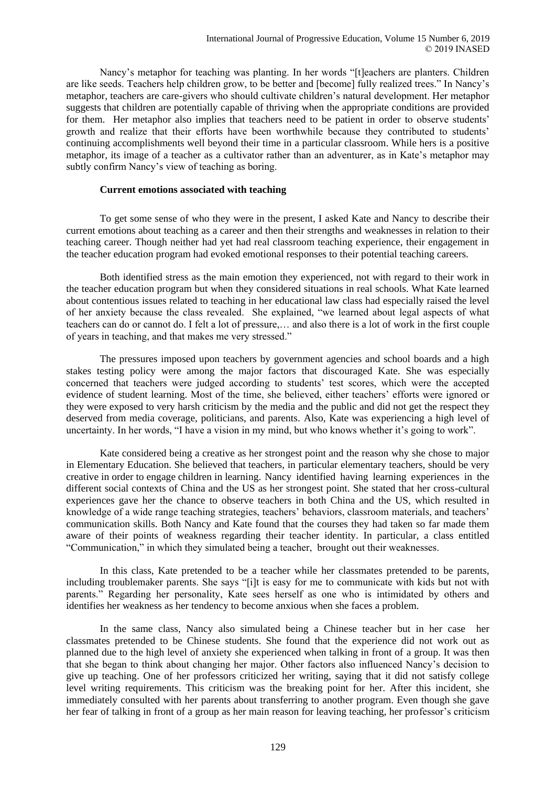Nancy's metaphor for teaching was planting. In her words "[t]eachers are planters. Children are like seeds. Teachers help children grow, to be better and [become] fully realized trees." In Nancy's metaphor, teachers are care-givers who should cultivate children's natural development. Her metaphor suggests that children are potentially capable of thriving when the appropriate conditions are provided for them. Her metaphor also implies that teachers need to be patient in order to observe students' growth and realize that their efforts have been worthwhile because they contributed to students' continuing accomplishments well beyond their time in a particular classroom. While hers is a positive metaphor, its image of a teacher as a cultivator rather than an adventurer, as in Kate's metaphor may subtly confirm Nancy's view of teaching as boring.

## **Current emotions associated with teaching**

To get some sense of who they were in the present, I asked Kate and Nancy to describe their current emotions about teaching as a career and then their strengths and weaknesses in relation to their teaching career. Though neither had yet had real classroom teaching experience, their engagement in the teacher education program had evoked emotional responses to their potential teaching careers.

Both identified stress as the main emotion they experienced, not with regard to their work in the teacher education program but when they considered situations in real schools. What Kate learned about contentious issues related to teaching in her educational law class had especially raised the level of her anxiety because the class revealed. She explained, "we learned about legal aspects of what teachers can do or cannot do. I felt a lot of pressure,… and also there is a lot of work in the first couple of years in teaching, and that makes me very stressed."

The pressures imposed upon teachers by government agencies and school boards and a high stakes testing policy were among the major factors that discouraged Kate. She was especially concerned that teachers were judged according to students' test scores, which were the accepted evidence of student learning. Most of the time, she believed, either teachers' efforts were ignored or they were exposed to very harsh criticism by the media and the public and did not get the respect they deserved from media coverage, politicians, and parents. Also, Kate was experiencing a high level of uncertainty. In her words, "I have a vision in my mind, but who knows whether it's going to work".

Kate considered being a creative as her strongest point and the reason why she chose to major in Elementary Education. She believed that teachers, in particular elementary teachers, should be very creative in order to engage children in learning. Nancy identified having learning experiences in the different social contexts of China and the US as her strongest point. She stated that her cross-cultural experiences gave her the chance to observe teachers in both China and the US, which resulted in knowledge of a wide range teaching strategies, teachers' behaviors, classroom materials, and teachers' communication skills. Both Nancy and Kate found that the courses they had taken so far made them aware of their points of weakness regarding their teacher identity. In particular, a class entitled "Communication," in which they simulated being a teacher, brought out their weaknesses.

In this class, Kate pretended to be a teacher while her classmates pretended to be parents, including troublemaker parents. She says "[i]t is easy for me to communicate with kids but not with parents." Regarding her personality, Kate sees herself as one who is intimidated by others and identifies her weakness as her tendency to become anxious when she faces a problem.

In the same class, Nancy also simulated being a Chinese teacher but in her case her classmates pretended to be Chinese students. She found that the experience did not work out as planned due to the high level of anxiety she experienced when talking in front of a group. It was then that she began to think about changing her major. Other factors also influenced Nancy's decision to give up teaching. One of her professors criticized her writing, saying that it did not satisfy college level writing requirements. This criticism was the breaking point for her. After this incident, she immediately consulted with her parents about transferring to another program. Even though she gave her fear of talking in front of a group as her main reason for leaving teaching, her professor's criticism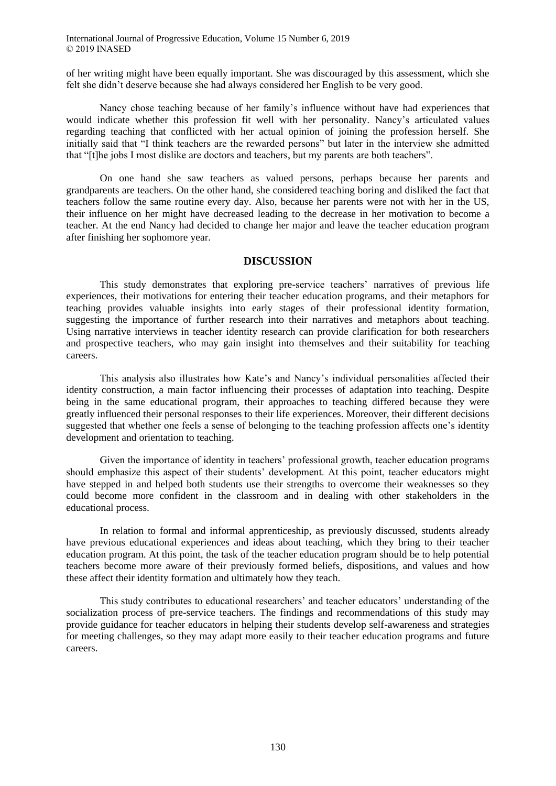International Journal of Progressive Education, Volume 15 Number 6, 2019 © 2019 INASED

of her writing might have been equally important. She was discouraged by this assessment, which she felt she didn't deserve because she had always considered her English to be very good.

Nancy chose teaching because of her family's influence without have had experiences that would indicate whether this profession fit well with her personality. Nancy's articulated values regarding teaching that conflicted with her actual opinion of joining the profession herself. She initially said that "I think teachers are the rewarded persons" but later in the interview she admitted that "[t]he jobs I most dislike are doctors and teachers, but my parents are both teachers".

On one hand she saw teachers as valued persons, perhaps because her parents and grandparents are teachers. On the other hand, she considered teaching boring and disliked the fact that teachers follow the same routine every day. Also, because her parents were not with her in the US, their influence on her might have decreased leading to the decrease in her motivation to become a teacher. At the end Nancy had decided to change her major and leave the teacher education program after finishing her sophomore year.

#### **DISCUSSION**

This study demonstrates that exploring pre-service teachers' narratives of previous life experiences, their motivations for entering their teacher education programs, and their metaphors for teaching provides valuable insights into early stages of their professional identity formation, suggesting the importance of further research into their narratives and metaphors about teaching. Using narrative interviews in teacher identity research can provide clarification for both researchers and prospective teachers, who may gain insight into themselves and their suitability for teaching careers.

This analysis also illustrates how Kate's and Nancy's individual personalities affected their identity construction, a main factor influencing their processes of adaptation into teaching. Despite being in the same educational program, their approaches to teaching differed because they were greatly influenced their personal responses to their life experiences. Moreover, their different decisions suggested that whether one feels a sense of belonging to the teaching profession affects one's identity development and orientation to teaching.

Given the importance of identity in teachers' professional growth, teacher education programs should emphasize this aspect of their students' development. At this point, teacher educators might have stepped in and helped both students use their strengths to overcome their weaknesses so they could become more confident in the classroom and in dealing with other stakeholders in the educational process.

In relation to formal and informal apprenticeship, as previously discussed, students already have previous educational experiences and ideas about teaching, which they bring to their teacher education program. At this point, the task of the teacher education program should be to help potential teachers become more aware of their previously formed beliefs, dispositions, and values and how these affect their identity formation and ultimately how they teach.

This study contributes to educational researchers' and teacher educators' understanding of the socialization process of pre-service teachers. The findings and recommendations of this study may provide guidance for teacher educators in helping their students develop self-awareness and strategies for meeting challenges, so they may adapt more easily to their teacher education programs and future careers.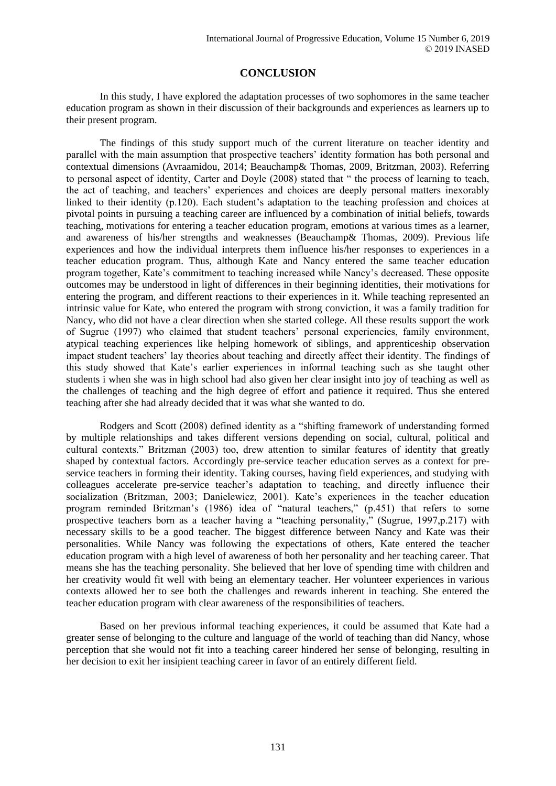## **CONCLUSION**

In this study, I have explored the adaptation processes of two sophomores in the same teacher education program as shown in their discussion of their backgrounds and experiences as learners up to their present program.

The findings of this study support much of the current literature on teacher identity and parallel with the main assumption that prospective teachers' identity formation has both personal and contextual dimensions (Avraamidou, 2014; Beauchamp& Thomas, 2009, Britzman, 2003). Referring to personal aspect of identity, Carter and Doyle (2008) stated that " the process of learning to teach, the act of teaching, and teachers' experiences and choices are deeply personal matters inexorably linked to their identity (p.120). Each student's adaptation to the teaching profession and choices at pivotal points in pursuing a teaching career are influenced by a combination of initial beliefs, towards teaching, motivations for entering a teacher education program, emotions at various times as a learner, and awareness of his/her strengths and weaknesses (Beauchamp& Thomas, 2009). Previous life experiences and how the individual interprets them influence his/her responses to experiences in a teacher education program. Thus, although Kate and Nancy entered the same teacher education program together, Kate's commitment to teaching increased while Nancy's decreased. These opposite outcomes may be understood in light of differences in their beginning identities, their motivations for entering the program, and different reactions to their experiences in it. While teaching represented an intrinsic value for Kate, who entered the program with strong conviction, it was a family tradition for Nancy, who did not have a clear direction when she started college. All these results support the work of Sugrue (1997) who claimed that student teachers' personal experiencies, family environment, atypical teaching experiences like helping homework of siblings, and apprenticeship observation impact student teachers' lay theories about teaching and directly affect their identity. The findings of this study showed that Kate's earlier experiences in informal teaching such as she taught other students i when she was in high school had also given her clear insight into joy of teaching as well as the challenges of teaching and the high degree of effort and patience it required. Thus she entered teaching after she had already decided that it was what she wanted to do.

Rodgers and Scott (2008) defined identity as a "shifting framework of understanding formed by multiple relationships and takes different versions depending on social, cultural, political and cultural contexts." Britzman (2003) too, drew attention to similar features of identity that greatly shaped by contextual factors. Accordingly pre-service teacher education serves as a context for preservice teachers in forming their identity. Taking courses, having field experiences, and studying with colleagues accelerate pre-service teacher's adaptation to teaching, and directly influence their socialization (Britzman, 2003; Danielewicz, 2001). Kate's experiences in the teacher education program reminded Britzman's (1986) idea of "natural teachers," (p.451) that refers to some prospective teachers born as a teacher having a "teaching personality," (Sugrue, 1997,p.217) with necessary skills to be a good teacher. The biggest difference between Nancy and Kate was their personalities. While Nancy was following the expectations of others, Kate entered the teacher education program with a high level of awareness of both her personality and her teaching career. That means she has the teaching personality. She believed that her love of spending time with children and her creativity would fit well with being an elementary teacher. Her volunteer experiences in various contexts allowed her to see both the challenges and rewards inherent in teaching. She entered the teacher education program with clear awareness of the responsibilities of teachers.

Based on her previous informal teaching experiences, it could be assumed that Kate had a greater sense of belonging to the culture and language of the world of teaching than did Nancy, whose perception that she would not fit into a teaching career hindered her sense of belonging, resulting in her decision to exit her insipient teaching career in favor of an entirely different field.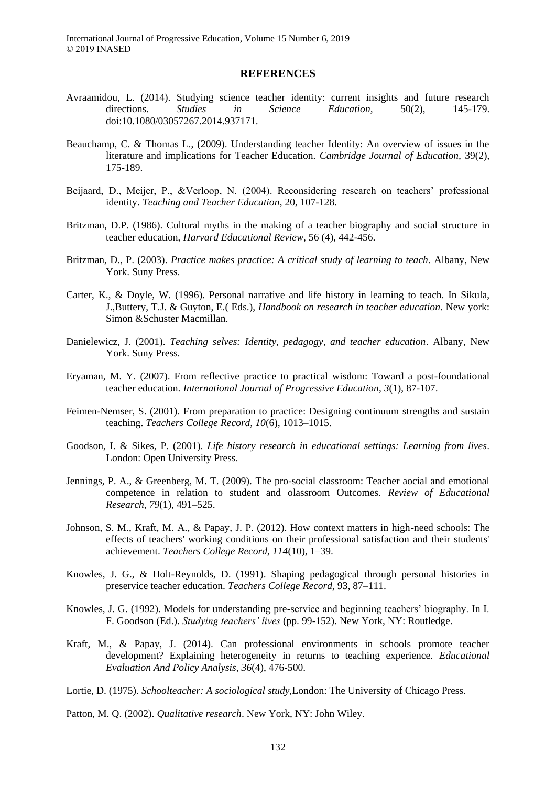#### **REFERENCES**

- Avraamidou, L. (2014). Studying science teacher identity: current insights and future research directions. *Studies in Science Education,* 50(2), 145-179. doi:10.1080/03057267.2014.937171.
- Beauchamp, C. & Thomas L., (2009). Understanding teacher Identity: An overview of issues in the literature and implications for Teacher Education. *Cambridge Journal of Education,* 39(2), 175-189.
- Beijaard, D., Meijer, P., &Verloop, N. (2004). Reconsidering research on teachers' professional identity. *Teaching and Teacher Education*, 20, 107-128.
- Britzman, D.P. (1986). Cultural myths in the making of a teacher biography and social structure in teacher education, *Harvard Educational Review*, 56 (4), 442-456.
- Britzman, D., P. (2003). *Practice makes practice: A critical study of learning to teach*. Albany, New York. Suny Press.
- Carter, K., & Doyle, W. (1996). Personal narrative and life history in learning to teach. In Sikula, J.,Buttery, T.J. & Guyton, E.( Eds.), *Handbook on research in teacher education*. New york: Simon &Schuster Macmillan.
- Danielewicz, J. (2001). *Teaching selves: Identity, pedagogy, and teacher education*. Albany, New York. Suny Press.
- Eryaman, M. Y. (2007). From reflective practice to practical wisdom: Toward a post-foundational teacher education. *International Journal of Progressive Education*, *3*(1), 87-107.
- Feimen-Nemser, S. (2001). From preparation to practice: Designing continuum strengths and sustain teaching. *Teachers College Record, 10*(6), 1013–1015.
- Goodson, I. & Sikes, P. (2001). *Life history research in educational settings: Learning from lives*. London: Open University Press.
- Jennings, P. A., & Greenberg, M. T. (2009). The pro-social classroom: Teacher aocial and emotional competence in relation to student and olassroom Outcomes. *Review of Educational Research*, *79*(1), 491–525.
- Johnson, S. M., Kraft, M. A., & Papay, J. P. (2012). How context matters in high-need schools: The effects of teachers' working conditions on their professional satisfaction and their students' achievement. *Teachers College Record*, *114*(10), 1–39.
- Knowles, J. G., & Holt-Reynolds, D. (1991). Shaping pedagogical through personal histories in preservice teacher education. *Teachers College Record*, 93, 87–111.
- Knowles, J. G. (1992). Models for understanding pre-service and beginning teachers' biography. In I. F. Goodson (Ed.). *Studying teachers' lives* (pp. 99-152). New York, NY: Routledge.
- Kraft, M., & Papay, J. (2014). Can professional environments in schools promote teacher development? Explaining heterogeneity in returns to teaching experience. *Educational Evaluation And Policy Analysis*, *36*(4), 476-500.
- Lortie, D. (1975). *Schoolteacher: A sociological study,*London: The University of Chicago Press.

Patton, M. Q. (2002). *Qualitative research*. New York, NY: John Wiley.